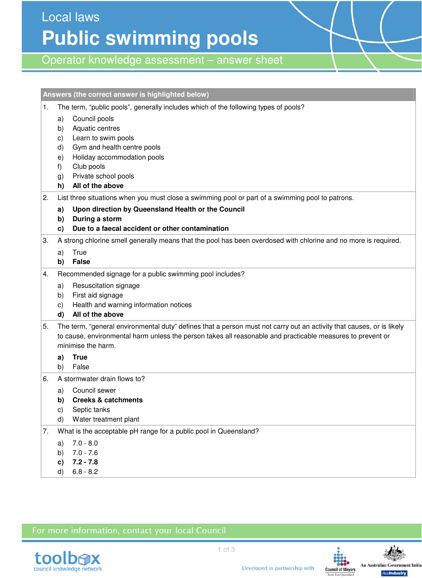Local laws **Public swimming pools** 

Operator knowledge assessment – answer sheet

|    | Answers (the correct answer is highlighted below)                                                                                                                                                                                                         |
|----|-----------------------------------------------------------------------------------------------------------------------------------------------------------------------------------------------------------------------------------------------------------|
| 1. | The term, "public pools", generally includes which of the following types of pools?                                                                                                                                                                       |
|    | Council pools<br>a)<br>Aquatic centres<br>b)<br>Learn to swim pools<br>C)<br>Gym and health centre pools<br>d)<br>Holiday accommodation pools<br>e)<br>Club pools<br>f)<br>Private school pools<br>g)<br>All of the above<br>h)                           |
| 2. | List three situations when you must close a swimming pool or part of a swimming pool to patrons.                                                                                                                                                          |
|    | Upon direction by Queensland Health or the Council<br>a)                                                                                                                                                                                                  |
|    | During a storm<br>b)<br>Due to a faecal accident or other contamination                                                                                                                                                                                   |
| 3. | C)<br>A strong chlorine smell generally means that the pool has been overdosed with chlorine and no more is required.                                                                                                                                     |
|    | True<br>a)                                                                                                                                                                                                                                                |
|    | <b>False</b><br>b)                                                                                                                                                                                                                                        |
| 4. | Recommended signage for a public swimming pool includes?                                                                                                                                                                                                  |
|    | Resuscitation signage<br>a)                                                                                                                                                                                                                               |
|    | First aid signage<br>b)                                                                                                                                                                                                                                   |
|    | Health and warning information notices<br>C)                                                                                                                                                                                                              |
|    | All of the above<br>d)                                                                                                                                                                                                                                    |
| 5. | The term, "general environmental duty" defines that a person must not carry out an activity that causes, or is likely<br>to cause, environmental harm unless the person takes all reasonable and practicable measures to prevent or<br>minimise the harm. |
|    | <b>True</b><br>a)                                                                                                                                                                                                                                         |
|    | False<br>b)                                                                                                                                                                                                                                               |
| 6. | A stormwater drain flows to?                                                                                                                                                                                                                              |
|    | Council sewer<br>a)                                                                                                                                                                                                                                       |
|    | <b>Creeks &amp; catchments</b><br>b)                                                                                                                                                                                                                      |
|    | c)<br>Septic tanks<br>Water treatment plant<br>d)                                                                                                                                                                                                         |
| 7. | What is the acceptable pH range for a public pool in Queensland?                                                                                                                                                                                          |
|    | $7.0 - 8.0$<br>a)                                                                                                                                                                                                                                         |
|    | $7.0 - 7.6$<br>b)                                                                                                                                                                                                                                         |
|    | $7.2 - 7.8$<br>c)                                                                                                                                                                                                                                         |
|    | $6.8 - 8.2$<br>d)                                                                                                                                                                                                                                         |

## For more information, contact your local Council





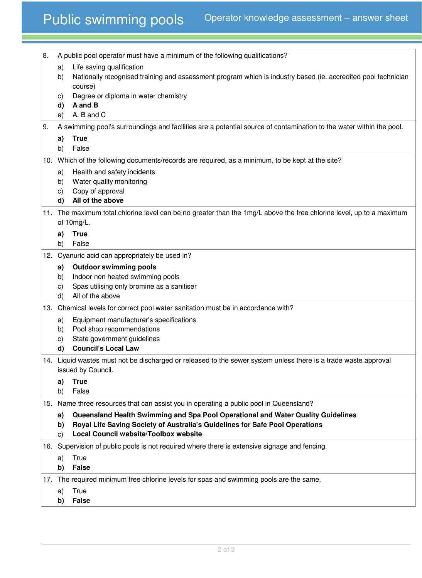## Public swimming pools Operator knowledge assessment – answer sheet

| 8.                 | A public pool operator must have a minimum of the following qualifications?       |                                                                                                                       |  |
|--------------------|-----------------------------------------------------------------------------------|-----------------------------------------------------------------------------------------------------------------------|--|
|                    | a)                                                                                | Life saving qualification                                                                                             |  |
|                    | b)                                                                                | Nationally recognised training and assessment program which is industry based (ie. accredited pool technician         |  |
|                    |                                                                                   | course)                                                                                                               |  |
|                    | C)                                                                                | Degree or diploma in water chemistry                                                                                  |  |
|                    | d)                                                                                | A and B<br>A, B and C                                                                                                 |  |
|                    | e)                                                                                |                                                                                                                       |  |
| 9.                 |                                                                                   | A swimming pool's surroundings and facilities are a potential source of contamination to the water within the pool.   |  |
|                    | a)<br>b)                                                                          | <b>True</b><br>False                                                                                                  |  |
|                    |                                                                                   | 10. Which of the following documents/records are required, as a minimum, to be kept at the site?                      |  |
|                    | a)                                                                                | Health and safety incidents                                                                                           |  |
|                    | b)                                                                                | Water quality monitoring                                                                                              |  |
|                    | C)                                                                                | Copy of approval                                                                                                      |  |
|                    | d)                                                                                | All of the above                                                                                                      |  |
|                    |                                                                                   | 11. The maximum total chlorine level can be no greater than the 1mg/L above the free chlorine level, up to a maximum  |  |
|                    |                                                                                   | of 10mg/L.                                                                                                            |  |
|                    | a)                                                                                | <b>True</b>                                                                                                           |  |
|                    | b)                                                                                | False                                                                                                                 |  |
|                    |                                                                                   | 12. Cyanuric acid can appropriately be used in?                                                                       |  |
|                    | a)<br>b)                                                                          | <b>Outdoor swimming pools</b><br>Indoor non heated swimming pools                                                     |  |
|                    | C)                                                                                | Spas utilising only bromine as a sanitiser                                                                            |  |
|                    | d)                                                                                | All of the above                                                                                                      |  |
|                    | 13. Chemical levels for correct pool water sanitation must be in accordance with? |                                                                                                                       |  |
|                    | a)                                                                                | Equipment manufacturer's specifications                                                                               |  |
|                    | b)                                                                                | Pool shop recommendations                                                                                             |  |
|                    | C)                                                                                | State government guidelines                                                                                           |  |
|                    | d)                                                                                | <b>Council's Local Law</b>                                                                                            |  |
| issued by Council. |                                                                                   | 14. Liquid wastes must not be discharged or released to the sewer system unless there is a trade waste approval       |  |
|                    | a)                                                                                | <b>True</b>                                                                                                           |  |
|                    | b)                                                                                | False                                                                                                                 |  |
|                    |                                                                                   | 15. Name three resources that can assist you in operating a public pool in Queensland?                                |  |
|                    | a)                                                                                | Queensland Health Swimming and Spa Pool Operational and Water Quality Guidelines                                      |  |
|                    | b)<br>C)                                                                          | Royal Life Saving Society of Australia's Guidelines for Safe Pool Operations<br>Local Council website/Toolbox website |  |
|                    |                                                                                   | 16. Supervision of public pools is not required where there is extensive signage and fencing.                         |  |
|                    | a)                                                                                | True                                                                                                                  |  |
|                    | b)                                                                                | <b>False</b>                                                                                                          |  |
|                    |                                                                                   | 17. The required minimum free chlorine levels for spas and swimming pools are the same.                               |  |
|                    | a)                                                                                | True                                                                                                                  |  |
|                    | b)                                                                                | <b>False</b>                                                                                                          |  |